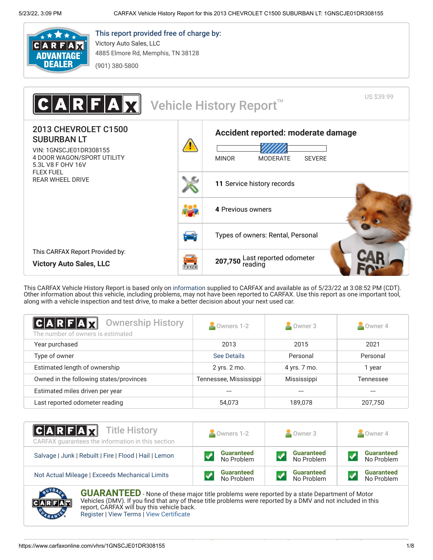

## This report provided free of charge by: Victory Auto Sales, LLC

4885 Elmore Rd, Memphis, TN 38128

(901) 380-5800

US \$39.99 IR Vehicle History Report<sup>™</sup> 2013 CHEVROLET C1500 **[Accident reported: moderate damage](#page-0-0)** SUBURBAN LT VIN: 1GNSCJE01DR308155 4 DOOR WAGON/SPORT UTILITY MINOR MODERATE SEVERE 5.3L V8 F OHV 16V FLEX FUEL REAR WHEEL DRIVE **11** [Service history records](#page-1-0) **4** [Previous owners](#page-0-1) [Types of owners: Rental, Personal](#page-0-1) This CARFAX Report Provided by: **207,750** [Last reported odometer](#page-1-0)<br>reading **Victory Auto Sales, LLC**  $711128$ 

This CARFAX Vehicle History Report is based only on [information](http://www.carfax.com/company/vhr-data-sources) supplied to CARFAX and available as of 5/23/22 at 3:08:52 PM (CDT). Other information about this vehicle, including problems, may not have been reported to CARFAX. Use this report as one important tool, along with a vehicle inspection and test drive, to make a better decision about your next used car.

<span id="page-0-1"></span>

| <b>Ownership History</b><br> C A R F A X <br>The number of owners is estimated | Owners 1-2             | $\sim$ Owner 3 | $\sim$ Owner 4 |
|--------------------------------------------------------------------------------|------------------------|----------------|----------------|
| Year purchased                                                                 | 2013                   | 2015           | 2021           |
| Type of owner                                                                  | See Details            | Personal       | Personal       |
| Estimated length of ownership                                                  | 2 yrs. 2 mo.           | 4 yrs. 7 mo.   | 1 year         |
| Owned in the following states/provinces                                        | Tennessee, Mississippi | Mississippi    | Tennessee      |
| Estimated miles driven per year                                                |                        |                | ---            |
| Last reported odometer reading                                                 | 54,073                 | 189,078        | 207,750        |

| $ C A R F A \overline{X}$ Title History<br>CARFAX quarantees the information in this section | Owners 1-2        | Owner 3           | Owner 4           |  |
|----------------------------------------------------------------------------------------------|-------------------|-------------------|-------------------|--|
| Salvage   Junk   Rebuilt   Fire   Flood   Hail   Lemon                                       | <b>Guaranteed</b> | <b>Guaranteed</b> | <b>Guaranteed</b> |  |
|                                                                                              | No Problem        | No Problem        | No Problem        |  |
| Not Actual Mileage   Exceeds Mechanical Limits                                               | <b>Guaranteed</b> | <b>Guaranteed</b> | <b>Guaranteed</b> |  |
|                                                                                              | No Problem        | No Problem        | No Problem        |  |

<span id="page-0-0"></span>

**GUARANTEED** - None of these major title problems were reported by a state Department of Motor Vehicles (DMV). If you find that any of these title problems were reported by a DMV and not included in this report, CARFAX will buy this vehicle back. [Register](https://www.carfax.com/Service/bbg) | [View Terms](http://www.carfaxonline.com/legal/bbgTerms) | [View Certificate](https://www.carfaxonline.com/vhrs/1GNSCJE01DR308155)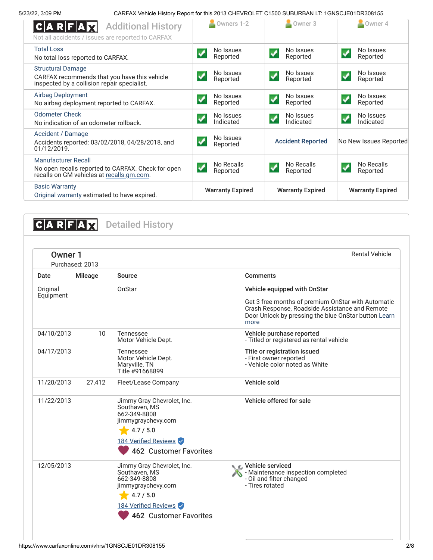5/23/22, 3:09 PM CARFAX Vehicle History Report for this 2013 CHEVROLET C1500 SUBURBAN LT: 1GNSCJE01DR308155

| <b>Additional History</b><br>Not all accidents / issues are reported to CARFAX                                          | Owners 1-2                                    | Owner 3                                        | $\sim$ Owner 4                                |
|-------------------------------------------------------------------------------------------------------------------------|-----------------------------------------------|------------------------------------------------|-----------------------------------------------|
| <b>Total Loss</b><br>No total loss reported to CARFAX.                                                                  | No Issues<br>Reported                         | No Issues<br>Reported                          | No Issues<br>✔<br>Reported                    |
| <b>Structural Damage</b><br>CARFAX recommends that you have this vehicle<br>inspected by a collision repair specialist. | No Issues<br>Reported                         | No Issues<br>$\blacktriangledown$<br>Reported  | No Issues<br>✔<br>Reported                    |
| <b>Airbag Deployment</b><br>No airbag deployment reported to CARFAX.                                                    | No Issues<br>$\boldsymbol{J}$<br>Reported     | No Issues<br>$\blacktriangledown$<br>Reported  | No Issues<br>$\blacktriangledown$<br>Reported |
| <b>Odometer Check</b><br>No indication of an odometer rollback.                                                         | No Issues<br>Indicated                        | No Issues<br>$\blacktriangledown$<br>Indicated | No Issues<br>✔<br>Indicated                   |
| Accident / Damage<br>Accidents reported: 03/02/2018, 04/28/2018, and<br>01/12/2019.                                     | No Issues<br>$\blacktriangledown$<br>Reported | <b>Accident Reported</b>                       | No New Issues Reported                        |
| Manufacturer Recall<br>No open recalls reported to CARFAX. Check for open<br>recalls on GM vehicles at recalls.gm.com.  | No Recalls<br>√<br>Reported                   | No Recalls<br>Reported                         | No Recalls<br>$\checkmark$<br>Reported        |
| <b>Basic Warranty</b><br>Original warranty estimated to have expired.                                                   | <b>Warranty Expired</b>                       | <b>Warranty Expired</b>                        | <b>Warranty Expired</b>                       |

<span id="page-1-1"></span><span id="page-1-0"></span>**CARFAX** Detailed History Owner 1 Rental Vehicle Purchased: 2013 Date Mileage Source **Comments Original** OnStar Vehicle equipped with OnStar Equipment Get 3 free months of premium OnStar with Automatic Crash Response, Roadside Assistance and Remote [Door Unlock by pressing the blue OnStar button Learn](https://www.onstar.com/web/portal/preowned?cmp=PTR-CARFAX&g=1) more 04/10/2013 10 Tennessee Vehicle purchase reported Motor Vehicle Dept. - Titled or registered as rental vehicle 04/17/2013 Tennessee Title or registration issued Motor Vehicle Dept. - First owner reported Maryville, TN - Vehicle color noted as White Title #91668899 11/20/2013 27,412 Fleet/Lease Company Vehicle sold 11/22/2013 Jimmy Gray Chevrolet, Inc. Vehicle offered for sale Southaven, MS 662-349-8808 jimmygraychevy.com  $4.7 / 5.0$ 184 Verified Reviews <sup>462</sup> Customer Favorites 12/05/2013 Jimmy Gray Chevrolet, Inc. **Vehicle serviced** Southaven, MS - Maintenance inspection completed S 662-349-8808 - Oil and filter changed - Tires rotated jimmygraychevy.com

 $4.7 / 5.0$ 

184 Verified Reviews

<sup>462</sup> Customer Favorites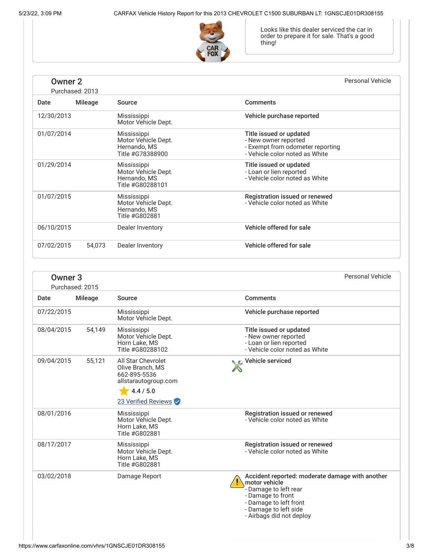

Looks like this dealer serviced the car in order to prepare it for sale. That's a good thing!

# Owner 2

| <b>Owner 2</b><br>Purchased: 2013 |                |                                                                        | <b>Personal Vehicle</b>                                                                                               |
|-----------------------------------|----------------|------------------------------------------------------------------------|-----------------------------------------------------------------------------------------------------------------------|
| Date                              | <b>Mileage</b> | Source                                                                 | <b>Comments</b>                                                                                                       |
| 12/30/2013                        |                | Mississippi<br>Motor Vehicle Dept.                                     | Vehicle purchase reported                                                                                             |
| 01/07/2014                        |                | Mississippi<br>Motor Vehicle Dept.<br>Hernando, MS<br>Title #G78388900 | Title issued or updated<br>- New owner reported<br>- Exempt from odometer reporting<br>- Vehicle color noted as White |
| 01/29/2014                        |                | Mississippi<br>Motor Vehicle Dept.<br>Hernando, MS<br>Title #G80288101 | Title issued or updated<br>- Loan or lien reported<br>- Vehicle color noted as White                                  |
| 01/07/2015                        |                | Mississippi<br>Motor Vehicle Dept.<br>Hernando, MS<br>Title #G802881   | Registration issued or renewed<br>- Vehicle color noted as White                                                      |
| 06/10/2015                        |                | Dealer Inventory                                                       | Vehicle offered for sale                                                                                              |
| 07/02/2015                        | 54,073         | Dealer Inventory                                                       | Vehicle offered for sale                                                                                              |

<span id="page-2-0"></span>

| Owner <sub>3</sub><br>Purchased: 2015 |                                                                                       | <b>Personal Vehicle</b>                                                                                                                                                                       |
|---------------------------------------|---------------------------------------------------------------------------------------|-----------------------------------------------------------------------------------------------------------------------------------------------------------------------------------------------|
| <b>Mileage</b>                        | Source                                                                                | Comments                                                                                                                                                                                      |
| 07/22/2015                            | Mississippi<br>Motor Vehicle Dept.                                                    | Vehicle purchase reported                                                                                                                                                                     |
| 08/04/2015<br>54,149                  | Mississippi<br>Motor Vehicle Dept.<br>Horn Lake, MS<br>Title #G80288102               | Title issued or updated<br>- New owner reported<br>- Loan or lien reported<br>- Vehicle color noted as White                                                                                  |
| 09/04/2015<br>55,121                  | <b>All Star Chevrolet</b><br>Olive Branch, MS<br>662-895-5536<br>allstarautogroup.com | Vehicle serviced                                                                                                                                                                              |
|                                       | 4.4 / 5.0                                                                             |                                                                                                                                                                                               |
|                                       | 23 Verified Reviews                                                                   |                                                                                                                                                                                               |
| 08/01/2016                            | Mississippi<br>Motor Vehicle Dept.<br>Horn Lake, MS<br>Title #G802881                 | Registration issued or renewed<br>- Vehicle color noted as White                                                                                                                              |
| 08/17/2017                            | Mississippi<br>Motor Vehicle Dept.<br>Horn Lake, MS<br>Title #G802881                 | Registration issued or renewed<br>- Vehicle color noted as White                                                                                                                              |
| 03/02/2018                            | Damage Report                                                                         | Accident reported: moderate damage with another<br>motor vehicle<br>- Damage to left rear<br>- Damage to front<br>- Damage to left front<br>- Damage to left side<br>- Airbags did not deploy |
|                                       |                                                                                       |                                                                                                                                                                                               |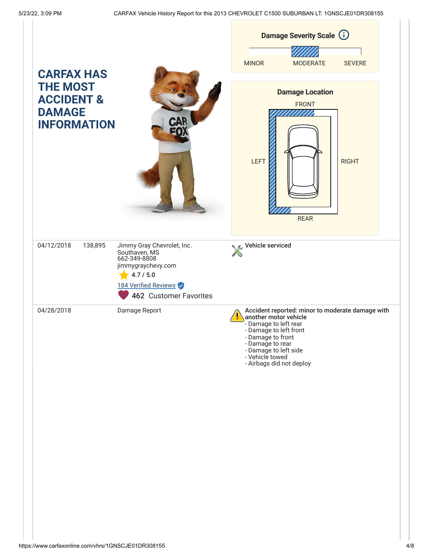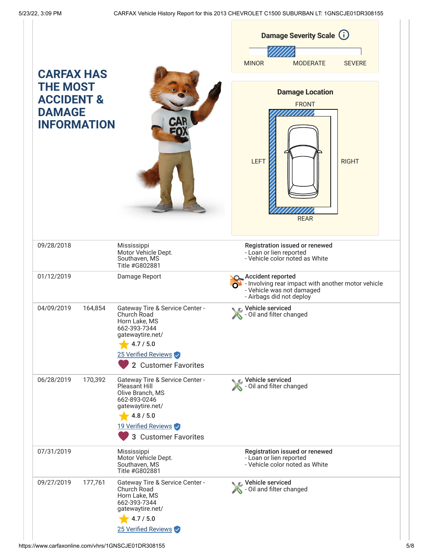| <b>CARFAX HAS</b>                                                               |                                                                                                                                                                      | <b>Damage Severity Scale (i)</b><br><b>MODERATE</b><br><b>MINOR</b><br><b>SEVERE</b>                                                               |
|---------------------------------------------------------------------------------|----------------------------------------------------------------------------------------------------------------------------------------------------------------------|----------------------------------------------------------------------------------------------------------------------------------------------------|
| <b>THE MOST</b><br><b>ACCIDENT &amp;</b><br><b>DAMAGE</b><br><b>INFORMATION</b> |                                                                                                                                                                      | <b>Damage Location</b><br><b>FRONT</b><br>LEFT<br><b>RIGHT</b><br><b>REAR</b>                                                                      |
| 09/28/2018                                                                      | Mississippi<br>Motor Vehicle Dept.<br>Southaven, MS<br>Title #G802881                                                                                                | Registration issued or renewed<br>- Loan or lien reported<br>- Vehicle color noted as White                                                        |
| 01/12/2019                                                                      | Damage Report                                                                                                                                                        | <b>O</b> Accident reported<br>$\Omega$ - Involving rear impact with another motor vehicle<br>- Vehicle was not damaged<br>- Airbags did not deploy |
| 04/09/2019<br>164,854                                                           | Gateway Tire & Service Center -<br>Church Road<br>Horn Lake, MS<br>662-393-7344<br>gatewaytire.net/<br>4.7 / 5.0<br>25 Verified Reviews<br>2 Customer Favorites      | Vehicle serviced<br>S - Oil and filter changed                                                                                                     |
| 06/28/2019<br>170,392                                                           | Gateway Tire & Service Center -<br>Pleasant Hill<br>Olive Branch, MS<br>662-893-0246<br>gatewaytire.net/<br>4.8 / 5.0<br>19 Verified Reviews<br>3 Customer Favorites | Vehicle serviced<br>- Oil and filter changed                                                                                                       |
| 07/31/2019                                                                      | Mississippi<br>Motor Vehicle Dept.<br>Southaven, MS<br>Title #G802881                                                                                                | Registration issued or renewed<br>- Loan or lien reported<br>- Vehicle color noted as White                                                        |
| 09/27/2019<br>177,761                                                           | Gateway Tire & Service Center -<br>Church Road<br>Horn Lake, MS<br>662-393-7344<br>gatewaytire.net/<br>4.7 / 5.0<br>25 Verified Reviews                              | Vehicle serviced<br>S - Oil and filter changed                                                                                                     |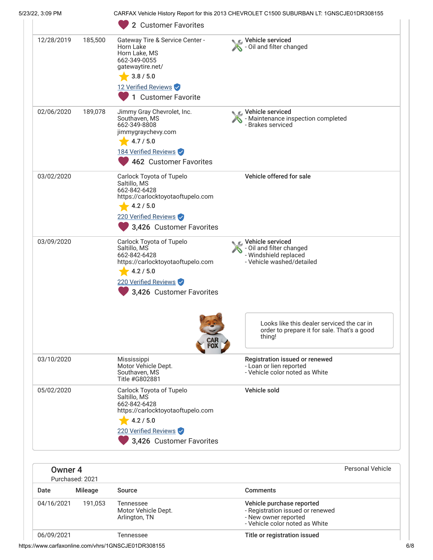| 5/23/22, 3:09 PM   |                 |                                                                                                                                                                        | CARFAX Vehicle History Report for this 2013 CHEVROLET C1500 SUBURBAN LT: 1GNSCJE01DR308155           |
|--------------------|-----------------|------------------------------------------------------------------------------------------------------------------------------------------------------------------------|------------------------------------------------------------------------------------------------------|
|                    |                 | 2 Customer Favorites                                                                                                                                                   |                                                                                                      |
| 12/28/2019         | 185,500         | Gateway Tire & Service Center -<br>Horn Lake<br>Horn Lake, MS<br>662-349-0055<br>gatewaytire.net/<br>3.8 / 5.0<br>12 Verified Reviews<br><b>Customer Favorite</b><br>1 | Vehicle serviced<br>- Oil and filter changed                                                         |
| 02/06/2020         | 189,078         | Jimmy Gray Chevrolet, Inc.<br>Southaven, MS<br>662-349-8808<br>jimmygraychevy.com<br>4.7 / 5.0<br>184 Verified Reviews<br>462 Customer Favorites                       | ९ C Vehicle serviced<br>- Maintenance inspection completed<br>- Brakes serviced                      |
| 03/02/2020         |                 | Carlock Toyota of Tupelo<br>Saltillo, MS<br>662-842-6428<br>https://carlocktoyotaoftupelo.com<br>4.2 / 5.0<br>220 Verified Reviews<br>3,426 Customer Favorites         | Vehicle offered for sale                                                                             |
| 03/09/2020         |                 | Carlock Toyota of Tupelo<br>Saltillo, MS<br>662-842-6428<br>https://carlocktoyotaoftupelo.com<br>4.2 / 5.0<br>220 Verified Reviews<br>3,426 Customer Favorites         | Vehicle serviced<br>S - Oil and filter changed<br>- Windshield replaced<br>- Vehicle washed/detailed |
|                    |                 |                                                                                                                                                                        | Looks like this dealer serviced the car in<br>order to prepare it for sale. That's a good<br>thing!  |
| 03/10/2020         |                 | Mississippi<br>Motor Vehicle Dept.<br>Southaven, MS<br>Title #G802881                                                                                                  | Registration issued or renewed<br>- Loan or lien reported<br>- Vehicle color noted as White          |
| 05/02/2020         |                 | Carlock Toyota of Tupelo<br>Saltillo, MS<br>662-842-6428<br>https://carlocktoyotaoftupelo.com<br>4.2 / 5.0<br>220 Verified Reviews<br>3,426 Customer Favorites         | Vehicle sold                                                                                         |
| Owner <sub>4</sub> | Purchased: 2021 |                                                                                                                                                                        | <b>Personal Vehicle</b>                                                                              |
| Date               | Mileage         | Source                                                                                                                                                                 | <b>Comments</b>                                                                                      |
| 04/16/2021         | 191,053         | Tennessee                                                                                                                                                              | Vehicle purchase reported                                                                            |

| Arlington, TN |  |  |
|---------------|--|--|
|               |  |  |

- Registration issued or renewed

- New owner reported - Vehicle color noted as White

Motor Vehicle Dept.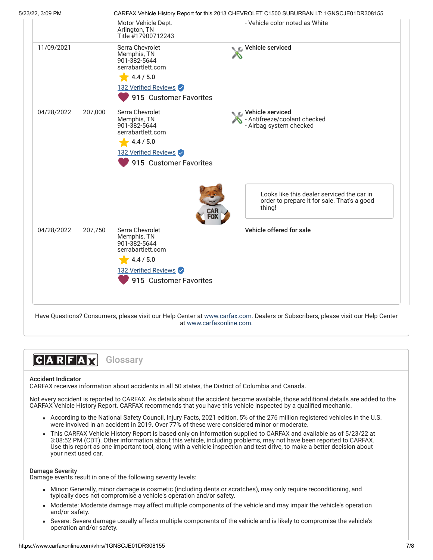

**CARFAX** Glossary

### Accident Indicator

CARFAX receives information about accidents in all 50 states, the District of Columbia and Canada.

Not every accident is reported to CARFAX. As details about the accident become available, those additional details are added to the CARFAX Vehicle History Report. CARFAX recommends that you have this vehicle inspected by a qualified mechanic.

- According to the National Safety Council, Injury Facts, 2021 edition, 5% of the 276 million registered vehicles in the U.S. were involved in an accident in 2019. Over 77% of these were considered minor or moderate.
- This CARFAX Vehicle History Report is based only on information supplied to CARFAX and available as of 5/23/22 at 3:08:52 PM (CDT). Other information about this vehicle, including problems, may not have been reported to CARFAX. Use this report as one important tool, along with a vehicle inspection and test drive, to make a better decision about your next used car.

#### Damage Severity

Damage events result in one of the following severity levels:

- Minor: Generally, minor damage is cosmetic (including dents or scratches), may only require reconditioning, and typically does not compromise a vehicle's operation and/or safety.
- Moderate: Moderate damage may affect multiple components of the vehicle and may impair the vehicle's operation and/or safety.
- Severe: Severe damage usually affects multiple components of the vehicle and is likely to compromise the vehicle's operation and/or safety.